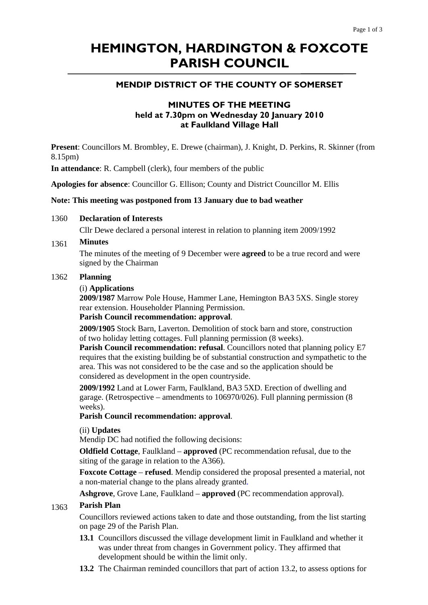# **HEMINGTON, HARDINGTON & FOXCOTE PARISH COUNCIL**

# **MENDIP DISTRICT OF THE COUNTY OF SOMERSET**

# **MINUTES OF THE MEETING held at 7.30pm on Wednesday 20 January 2010 at Faulkland Village Hall**

**Present**: Councillors M. Brombley, E. Drewe (chairman), J. Knight, D. Perkins, R. Skinner (from 8.15pm)

**In attendance**: R. Campbell (clerk), four members of the public

**Apologies for absence**: Councillor G. Ellison; County and District Councillor M. Ellis

### **Note: This meeting was postponed from 13 January due to bad weather**

#### 1360 **Declaration of Interests**

Cllr Dewe declared a personal interest in relation to planning item 2009/1992

#### 1361 **Minutes**

The minutes of the meeting of 9 December were **agreed** to be a true record and were signed by the Chairman

#### 1362 **Planning**

### (i) **Applications**

**2009/1987** Marrow Pole House, Hammer Lane, Hemington BA3 5XS. Single storey rear extension. Householder Planning Permission.

# **Parish Council recommendation: approval**.

**2009/1905** Stock Barn, Laverton. Demolition of stock barn and store, construction of two holiday letting cottages. Full planning permission (8 weeks).

**Parish Council recommendation: refusal**. Councillors noted that planning policy E7 requires that the existing building be of substantial construction and sympathetic to the area. This was not considered to be the case and so the application should be considered as development in the open countryside.

**2009/1992** Land at Lower Farm, Faulkland, BA3 5XD. Erection of dwelling and garage. (Retrospective – amendments to 106970/026). Full planning permission (8 weeks).

#### **Parish Council recommendation: approval**.

(ii) **Updates** 

Mendip DC had notified the following decisions:

**Oldfield Cottage**, Faulkland – **approved** (PC recommendation refusal, due to the siting of the garage in relation to the A366).

**Foxcote Cottage** – **refused**. Mendip considered the proposal presented a material, not a non-material change to the plans already granted.

**Ashgrove**, Grove Lane, Faulkland – **approved** (PC recommendation approval).

#### 1363 **Parish Plan**

Councillors reviewed actions taken to date and those outstanding, from the list starting on page 29 of the Parish Plan.

- **13.1** Councillors discussed the village development limit in Faulkland and whether it was under threat from changes in Government policy. They affirmed that development should be within the limit only.
- **13.2** The Chairman reminded councillors that part of action 13.2, to assess options for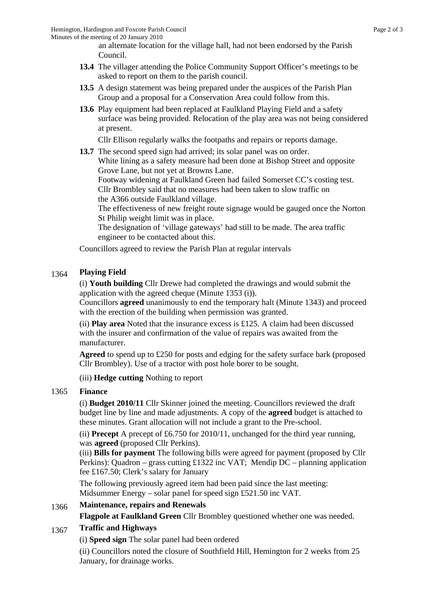an alternate location for the village hall, had not been endorsed by the Parish Council.

- **13.4** The villager attending the Police Community Support Officer's meetings to be asked to report on them to the parish council.
- **13.5** A design statement was being prepared under the auspices of the Parish Plan Group and a proposal for a Conservation Area could follow from this.
- **13.6** Play equipment had been replaced at Faulkland Playing Field and a safety surface was being provided. Relocation of the play area was not being considered at present.

Cllr Ellison regularly walks the footpaths and repairs or reports damage.

**13.7** The second speed sign had arrived; its solar panel was on order.

 White lining as a safety measure had been done at Bishop Street and opposite Grove Lane, but not yet at Browns Lane.

 Footway widening at Faulkland Green had failed Somerset CC's costing test. Cllr Brombley said that no measures had been taken to slow traffic on the A366 outside Faulkland village.

 The effectiveness of new freight route signage would be gauged once the Norton St Philip weight limit was in place.

 The designation of 'village gateways' had still to be made. The area traffic engineer to be contacted about this.

Councillors agreed to review the Parish Plan at regular intervals

#### 1364 **Playing Field**

(i) **Youth building** Cllr Drewe had completed the drawings and would submit the application with the agreed cheque (Minute 1353 (i)).

Councillors **agreed** unanimously to end the temporary halt (Minute 1343) and proceed with the erection of the building when permission was granted.

(ii) **Play area** Noted that the insurance excess is £125. A claim had been discussed with the insurer and confirmation of the value of repairs was awaited from the manufacturer.

**Agreed** to spend up to £250 for posts and edging for the safety surface bark (proposed Cllr Brombley). Use of a tractor with post hole borer to be sought.

(iii) **Hedge cutting** Nothing to report

## 1365 **Finance**

(i) **Budget 2010/11** Cllr Skinner joined the meeting. Councillors reviewed the draft budget line by line and made adjustments. A copy of the **agreed** budget is attached to these minutes. Grant allocation will not include a grant to the Pre-school.

(ii) **Precept** A precept of £6.750 for 2010/11, unchanged for the third year running, was **agreed** (proposed Cllr Perkins).

(iii) **Bills for payment** The following bills were agreed for payment (proposed by Cllr Perkins): Quadron – grass cutting £1322 inc VAT; Mendip DC – planning application fee £167.50; Clerk's salary for January

The following previously agreed item had been paid since the last meeting: Midsummer Energy – solar panel for speed sign £521.50 inc VAT.

## 1366 **Maintenance, repairs and Renewals**

**Flagpole at Faulkland Green** Cllr Brombley questioned whether one was needed.

## 1367 **Traffic and Highways**

(i) **Speed sign** The solar panel had been ordered

(ii) Councillors noted the closure of Southfield Hill, Hemington for 2 weeks from 25 January, for drainage works.